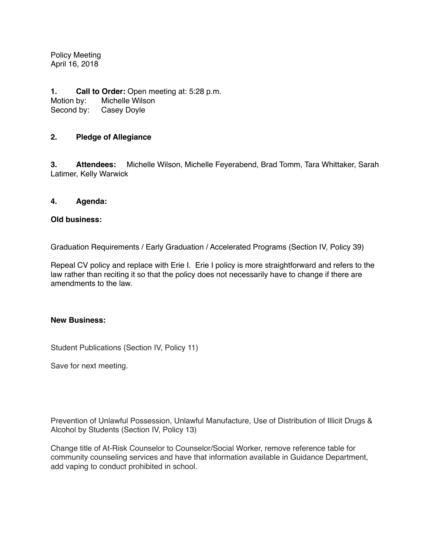Policy Meeting April 16, 2018

**1. Call to Order:** Open meeting at: 5:28 p.m. Motion by: Michelle Wilson Second by: Casey Doyle

## **2. Pledge of Allegiance**

**3. Attendees:** Michelle Wilson, Michelle Feyerabend, Brad Tomm, Tara Whittaker, Sarah Latimer, Kelly Warwick

## **4. Agenda:**

## **Old business:**

Graduation Requirements / Early Graduation / Accelerated Programs (Section IV, Policy 39)

Repeal CV policy and replace with Erie I. Erie I policy is more straightforward and refers to the law rather than reciting it so that the policy does not necessarily have to change if there are amendments to the law.

## **New Business:**

Student Publications (Section IV, Policy 11)

Save for next meeting.

Prevention of Unlawful Possession, Unlawful Manufacture, Use of Distribution of Illicit Drugs & Alcohol by Students (Section IV, Policy 13)

Change title of At-Risk Counselor to Counselor/Social Worker, remove reference table for community counseling services and have that information available in Guidance Department, add vaping to conduct prohibited in school.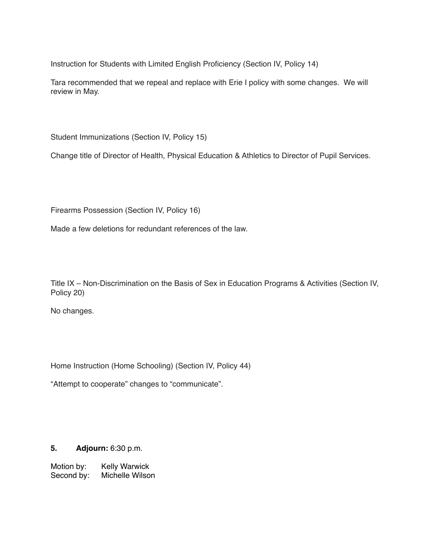Instruction for Students with Limited English Proficiency (Section IV, Policy 14)

Tara recommended that we repeal and replace with Erie I policy with some changes. We will review in May.

Student Immunizations (Section IV, Policy 15)

Change title of Director of Health, Physical Education & Athletics to Director of Pupil Services.

Firearms Possession (Section IV, Policy 16)

Made a few deletions for redundant references of the law.

Title IX – Non-Discrimination on the Basis of Sex in Education Programs & Activities (Section IV, Policy 20)

No changes.

Home Instruction (Home Schooling) (Section IV, Policy 44)

"Attempt to cooperate" changes to "communicate".

**5. Adjourn:** 6:30 p.m.

Motion by: Kelly Warwick Second by: Michelle Wilson